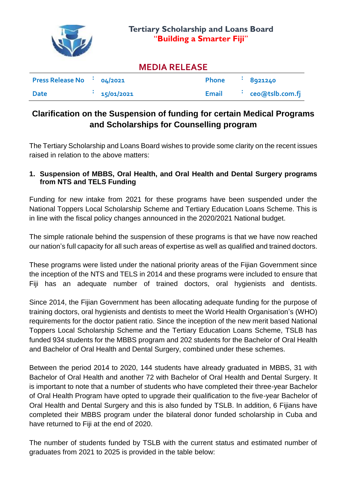

## **MEDIA RELEASE**

| Press Release No $\cdot$ 04/2021 |            | <b>Phone</b> | 8921240           |
|----------------------------------|------------|--------------|-------------------|
| <b>Date</b>                      | 15/01/2021 | Email        | : ceo@tslb.com.fj |

# **Clarification on the Suspension of funding for certain Medical Programs and Scholarships for Counselling program**

The Tertiary Scholarship and Loans Board wishes to provide some clarity on the recent issues raised in relation to the above matters:

### **1. Suspension of MBBS, Oral Health, and Oral Health and Dental Surgery programs from NTS and TELS Funding**

Funding for new intake from 2021 for these programs have been suspended under the National Toppers Local Scholarship Scheme and Tertiary Education Loans Scheme. This is in line with the fiscal policy changes announced in the 2020/2021 National budget.

The simple rationale behind the suspension of these programs is that we have now reached our nation's full capacity for all such areas of expertise as well as qualified and trained doctors.

These programs were listed under the national priority areas of the Fijian Government since the inception of the NTS and TELS in 2014 and these programs were included to ensure that Fiji has an adequate number of trained doctors, oral hygienists and dentists.

Since 2014, the Fijian Government has been allocating adequate funding for the purpose of training doctors, oral hygienists and dentists to meet the World Health Organisation's (WHO) requirements for the doctor patient ratio. Since the inception of the new merit based National Toppers Local Scholarship Scheme and the Tertiary Education Loans Scheme, TSLB has funded 934 students for the MBBS program and 202 students for the Bachelor of Oral Health and Bachelor of Oral Health and Dental Surgery, combined under these schemes.

Between the period 2014 to 2020, 144 students have already graduated in MBBS, 31 with Bachelor of Oral Health and another 72 with Bachelor of Oral Health and Dental Surgery. It is important to note that a number of students who have completed their three-year Bachelor of Oral Health Program have opted to upgrade their qualification to the five-year Bachelor of Oral Health and Dental Surgery and this is also funded by TSLB. In addition, 6 Fijians have completed their MBBS program under the bilateral donor funded scholarship in Cuba and have returned to Fiji at the end of 2020.

The number of students funded by TSLB with the current status and estimated number of graduates from 2021 to 2025 is provided in the table below: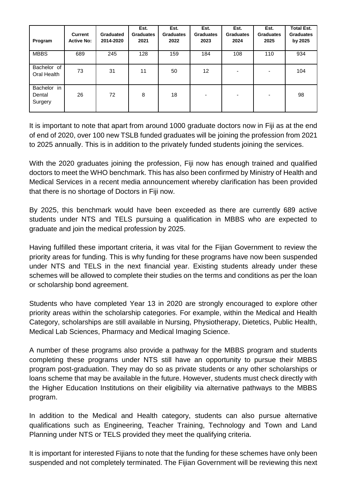| Program                          | Current<br><b>Active No:</b> | <b>Graduated</b><br>2014-2020 | Est.<br><b>Graduates</b><br>2021 | Est.<br><b>Graduates</b><br>2022 | Est.<br><b>Graduates</b><br>2023 | Est.<br><b>Graduates</b><br>2024 | Est.<br><b>Graduates</b><br>2025 | <b>Total Est.</b><br><b>Graduates</b><br>by 2025 |
|----------------------------------|------------------------------|-------------------------------|----------------------------------|----------------------------------|----------------------------------|----------------------------------|----------------------------------|--------------------------------------------------|
| <b>MBBS</b>                      | 689                          | 245                           | 128                              | 159                              | 184                              | 108                              | 110                              | 934                                              |
| Bachelor of<br>Oral Health       | 73                           | 31                            | 11                               | 50                               | 12 <sup>2</sup>                  |                                  | ۰                                | 104                                              |
| Bachelor in<br>Dental<br>Surgery | 26                           | 72                            | 8                                | 18                               | -                                | -                                | ۰                                | 98                                               |

It is important to note that apart from around 1000 graduate doctors now in Fiji as at the end of end of 2020, over 100 new TSLB funded graduates will be joining the profession from 2021 to 2025 annually. This is in addition to the privately funded students joining the services.

With the 2020 graduates joining the profession, Fiji now has enough trained and qualified doctors to meet the WHO benchmark. This has also been confirmed by Ministry of Health and Medical Services in a recent media announcement whereby clarification has been provided that there is no shortage of Doctors in Fiji now.

By 2025, this benchmark would have been exceeded as there are currently 689 active students under NTS and TELS pursuing a qualification in MBBS who are expected to graduate and join the medical profession by 2025.

Having fulfilled these important criteria, it was vital for the Fijian Government to review the priority areas for funding. This is why funding for these programs have now been suspended under NTS and TELS in the next financial year. Existing students already under these schemes will be allowed to complete their studies on the terms and conditions as per the loan or scholarship bond agreement.

Students who have completed Year 13 in 2020 are strongly encouraged to explore other priority areas within the scholarship categories. For example, within the Medical and Health Category, scholarships are still available in Nursing, Physiotherapy, Dietetics, Public Health, Medical Lab Sciences, Pharmacy and Medical Imaging Science.

A number of these programs also provide a pathway for the MBBS program and students completing these programs under NTS still have an opportunity to pursue their MBBS program post-graduation. They may do so as private students or any other scholarships or loans scheme that may be available in the future. However, students must check directly with the Higher Education Institutions on their eligibility via alternative pathways to the MBBS program.

In addition to the Medical and Health category, students can also pursue alternative qualifications such as Engineering, Teacher Training, Technology and Town and Land Planning under NTS or TELS provided they meet the qualifying criteria.

It is important for interested Fijians to note that the funding for these schemes have only been suspended and not completely terminated. The Fijian Government will be reviewing this next